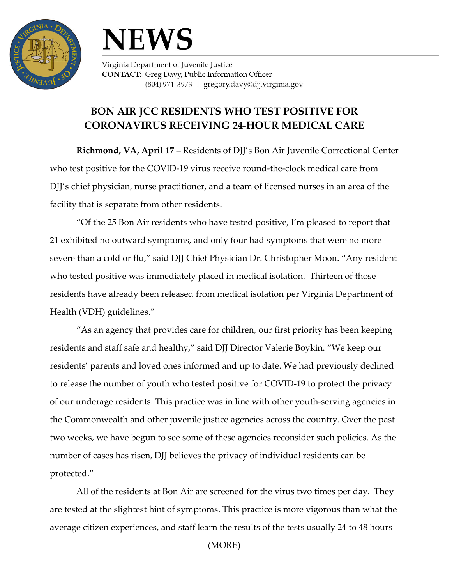



Virginia Department of Juvenile Justice **CONTACT:** Greg Davy, Public Information Officer (804) 971-3973 | gregory.davy@djj.virginia.gov

## **BON AIR JCC RESIDENTS WHO TEST POSITIVE FOR CORONAVIRUS RECEIVING 24-HOUR MEDICAL CARE**

**Richmond, VA, April 17 –** Residents of DJJ's Bon Air Juvenile Correctional Center who test positive for the COVID-19 virus receive round-the-clock medical care from DJJ's chief physician, nurse practitioner, and a team of licensed nurses in an area of the facility that is separate from other residents.

"Of the 25 Bon Air residents who have tested positive, I'm pleased to report that 21 exhibited no outward symptoms, and only four had symptoms that were no more severe than a cold or flu," said DJJ Chief Physician Dr. Christopher Moon. "Any resident who tested positive was immediately placed in medical isolation. Thirteen of those residents have already been released from medical isolation per Virginia Department of Health (VDH) guidelines."

"As an agency that provides care for children, our first priority has been keeping residents and staff safe and healthy," said DJJ Director Valerie Boykin. "We keep our residents' parents and loved ones informed and up to date. We had previously declined to release the number of youth who tested positive for COVID-19 to protect the privacy of our underage residents. This practice was in line with other youth-serving agencies in the Commonwealth and other juvenile justice agencies across the country. Over the past two weeks, we have begun to see some of these agencies reconsider such policies. As the number of cases has risen, DJJ believes the privacy of individual residents can be protected."

All of the residents at Bon Air are screened for the virus two times per day. They are tested at the slightest hint of symptoms. This practice is more vigorous than what the average citizen experiences, and staff learn the results of the tests usually 24 to 48 hours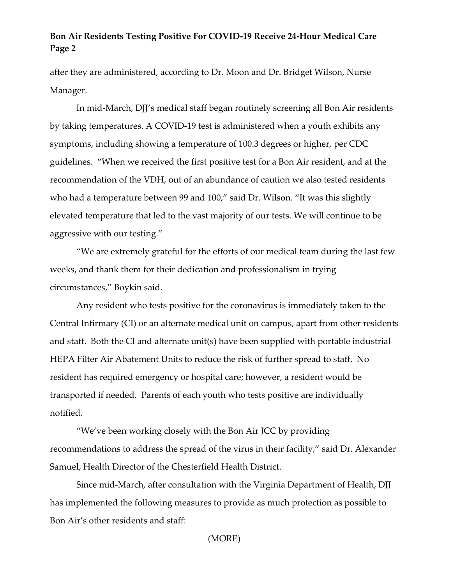## **Bon Air Residents Testing Positive For COVID-19 Receive 24-Hour Medical Care Page 2**

after they are administered, according to Dr. Moon and Dr. Bridget Wilson, Nurse Manager.

In mid-March, DJJ's medical staff began routinely screening all Bon Air residents by taking temperatures. A COVID-19 test is administered when a youth exhibits any symptoms, including showing a temperature of 100.3 degrees or higher, per CDC guidelines. "When we received the first positive test for a Bon Air resident, and at the recommendation of the VDH, out of an abundance of caution we also tested residents who had a temperature between 99 and 100," said Dr. Wilson. "It was this slightly elevated temperature that led to the vast majority of our tests. We will continue to be aggressive with our testing."

"We are extremely grateful for the efforts of our medical team during the last few weeks, and thank them for their dedication and professionalism in trying circumstances," Boykin said.

Any resident who tests positive for the coronavirus is immediately taken to the Central Infirmary (CI) or an alternate medical unit on campus, apart from other residents and staff. Both the CI and alternate unit(s) have been supplied with portable industrial HEPA Filter Air Abatement Units to reduce the risk of further spread to staff. No resident has required emergency or hospital care; however, a resident would be transported if needed. Parents of each youth who tests positive are individually notified.

"We've been working closely with the Bon Air JCC by providing recommendations to address the spread of the virus in their facility," said Dr. Alexander Samuel, Health Director of the Chesterfield Health District.

Since mid-March, after consultation with the Virginia Department of Health, DJJ has implemented the following measures to provide as much protection as possible to Bon Air's other residents and staff:

(MORE)